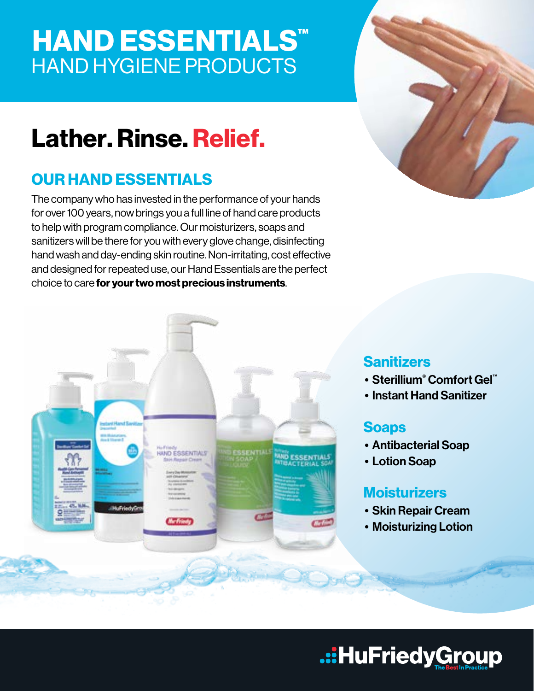# **HAND ESSENTIALS™** HAND HYGIENE PRODUCTS

# Lather. Rinse. Relief.

## OUR HAND ESSENTIALS

The company who has invested in the performance of your hands for over 100 years, now brings you a full line of hand care products to help with program compliance. Our moisturizers, soaps and sanitizers will be there for you with every glove change, disinfecting hand wash and day-ending skin routine. Non-irritating, cost effective and designed for repeated use, our Hand Essentials are the perfect choice to care for your two most precious instruments.





### **Sanitizers**

- Sterillium® Comfort Gel™
- Instant Hand Sanitizer

### Soaps

- Antibacterial Soap
- Lotion Soap

### **Moisturizers**

- Skin Repair Cream
- Moisturizing Lotion